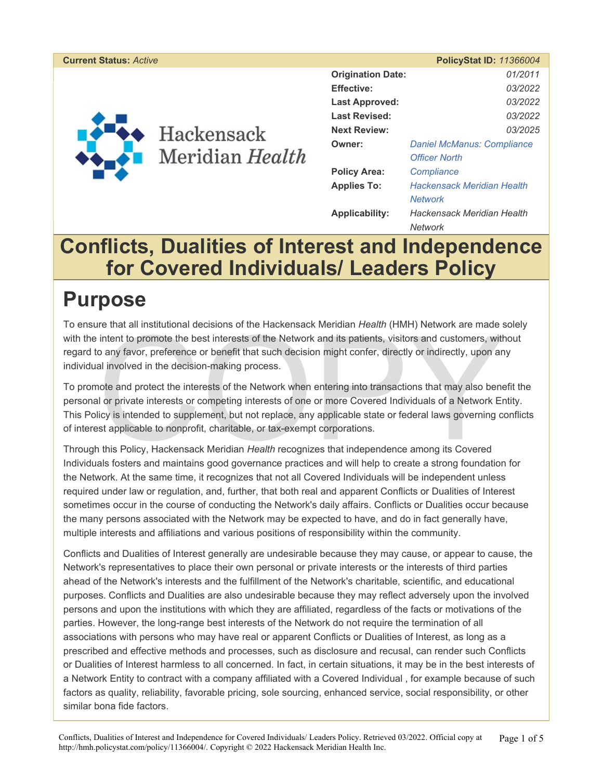#### **Current Status:** *Active* **PolicyStat ID:** *11366004*



|                          | $1$ UILYULAL ID. 11000007         |  |
|--------------------------|-----------------------------------|--|
| <b>Origination Date:</b> | 01/2011                           |  |
| <b>Effective:</b>        | 03/2022                           |  |
| Last Approved:           | 03/2022                           |  |
| <b>Last Revised:</b>     | 03/2022                           |  |
| <b>Next Review:</b>      | 03/2025                           |  |
| Owner:                   | <b>Daniel McManus: Compliance</b> |  |
|                          | <b>Officer North</b>              |  |
| <b>Policy Area:</b>      | Compliance                        |  |
| <b>Applies To:</b>       | Hackensack Meridian Health        |  |
|                          | <b>Network</b>                    |  |
| Applicability:           | Hackensack Meridian Health        |  |
|                          | Network                           |  |

## **Conflicts, Dualities of Interest and Independence for Covered Individuals/ Leaders Policy**

## **Purpose**

To ensure that all institutional decisions of the Hackensack Meridian *Health* (HMH) Network are made solely with the intent to promote the best interests of the Network and its patients, visitors and customers, without regard to any favor, preference or benefit that such decision might confer, directly or indirectly, upon any individual involved in the decision-making process.

Ire that all institutional decisions of the Hackensack Meridian *Health* (HMH) Network are made is<br>intent to promote the best interests of the Network and its patients, visitors and customers, with<br>o any favor, preference To promote and protect the interests of the Network when entering into transactions that may also benefit the personal or private interests or competing interests of one or more Covered Individuals of a Network Entity. This Policy is intended to supplement, but not replace, any applicable state or federal laws governing conflicts of interest applicable to nonprofit, charitable, or tax-exempt corporations.

Through this Policy, Hackensack Meridian *Health* recognizes that independence among its Covered Individuals fosters and maintains good governance practices and will help to create a strong foundation for the Network. At the same time, it recognizes that not all Covered Individuals will be independent unless required under law or regulation, and, further, that both real and apparent Conflicts or Dualities of Interest sometimes occur in the course of conducting the Network's daily affairs. Conflicts or Dualities occur because the many persons associated with the Network may be expected to have, and do in fact generally have, multiple interests and affiliations and various positions of responsibility within the community.

Conflicts and Dualities of Interest generally are undesirable because they may cause, or appear to cause, the Network's representatives to place their own personal or private interests or the interests of third parties ahead of the Network's interests and the fulfillment of the Network's charitable, scientific, and educational purposes. Conflicts and Dualities are also undesirable because they may reflect adversely upon the involved persons and upon the institutions with which they are affiliated, regardless of the facts or motivations of the parties. However, the long-range best interests of the Network do not require the termination of all associations with persons who may have real or apparent Conflicts or Dualities of Interest, as long as a prescribed and effective methods and processes, such as disclosure and recusal, can render such Conflicts or Dualities of Interest harmless to all concerned. In fact, in certain situations, it may be in the best interests of a Network Entity to contract with a company affiliated with a Covered Individual , for example because of such factors as quality, reliability, favorable pricing, sole sourcing, enhanced service, social responsibility, or other similar bona fide factors.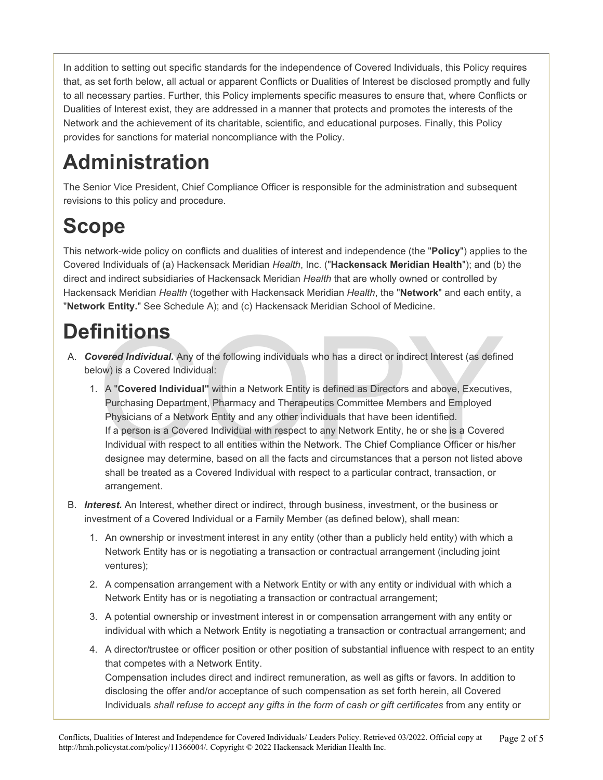In addition to setting out specific standards for the independence of Covered Individuals, this Policy requires that, as set forth below, all actual or apparent Conflicts or Dualities of Interest be disclosed promptly and fully to all necessary parties. Further, this Policy implements specific measures to ensure that, where Conflicts or Dualities of Interest exist, they are addressed in a manner that protects and promotes the interests of the Network and the achievement of its charitable, scientific, and educational purposes. Finally, this Policy provides for sanctions for material noncompliance with the Policy.

# **Administration**

The Senior Vice President, Chief Compliance Officer is responsible for the administration and subsequent revisions to this policy and procedure.

# **Scope**

This network-wide policy on conflicts and dualities of interest and independence (the "**Policy**") applies to the Covered Individuals of (a) Hackensack Meridian *Health*, Inc. ("**Hackensack Meridian Health**"); and (b) the direct and indirect subsidiaries of Hackensack Meridian *Health* that are wholly owned or controlled by Hackensack Meridian *Health* (together with Hackensack Meridian *Health*, the "**Network**" and each entity, a "**Network Entity.**" See Schedule A); and (c) Hackensack Meridian School of Medicine.

# **Definitions**

- A. *Covered Individual.* Any of the following individuals who has a direct or indirect Interest (as defined below) is a Covered Individual:
- COPY 1. A "**Covered Individual"** within a Network Entity is defined as Directors and above, Executives, Purchasing Department, Pharmacy and Therapeutics Committee Members and Employed Physicians of a Network Entity and any other individuals that have been identified. If a person is a Covered Individual with respect to any Network Entity, he or she is a Covered Individual with respect to all entities within the Network. The Chief Compliance Officer or his/her designee may determine, based on all the facts and circumstances that a person not listed above shall be treated as a Covered Individual with respect to a particular contract, transaction, or arrangement.
- B. *Interest.* An Interest, whether direct or indirect, through business, investment, or the business or investment of a Covered Individual or a Family Member (as defined below), shall mean:
	- 1. An ownership or investment interest in any entity (other than a publicly held entity) with which a Network Entity has or is negotiating a transaction or contractual arrangement (including joint ventures);
	- 2. A compensation arrangement with a Network Entity or with any entity or individual with which a Network Entity has or is negotiating a transaction or contractual arrangement;
	- 3. A potential ownership or investment interest in or compensation arrangement with any entity or individual with which a Network Entity is negotiating a transaction or contractual arrangement; and
	- 4. A director/trustee or officer position or other position of substantial influence with respect to an entity that competes with a Network Entity. Compensation includes direct and indirect remuneration, as well as gifts or favors. In addition to disclosing the offer and/or acceptance of such compensation as set forth herein, all Covered Individuals *shall refuse to accept any gifts in the form of cash or gift certificates* from any entity or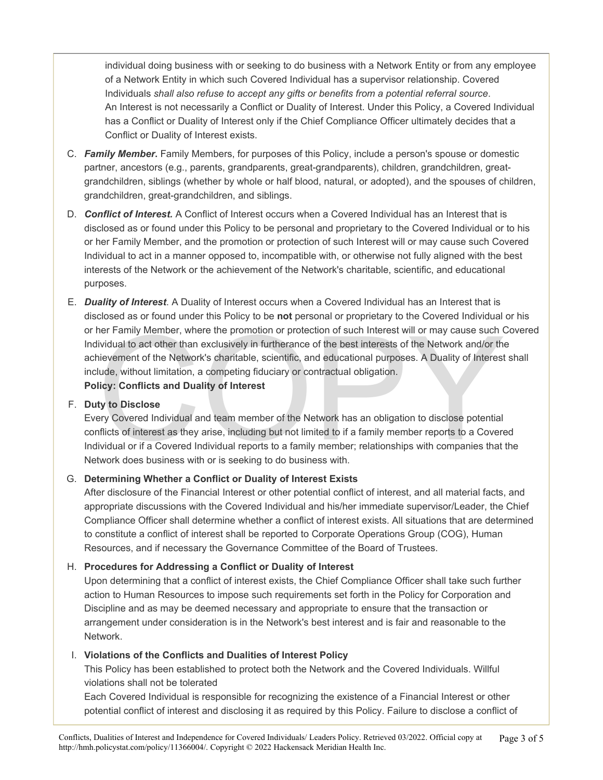individual doing business with or seeking to do business with a Network Entity or from any employee of a Network Entity in which such Covered Individual has a supervisor relationship. Covered Individuals *shall also refuse to accept any gifts or benefits from a potential referral source*. An Interest is not necessarily a Conflict or Duality of Interest. Under this Policy, a Covered Individual has a Conflict or Duality of Interest only if the Chief Compliance Officer ultimately decides that a Conflict or Duality of Interest exists.

- C. *Family Member***.** Family Members, for purposes of this Policy, include a person's spouse or domestic partner, ancestors (e.g., parents, grandparents, great-grandparents), children, grandchildren, greatgrandchildren, siblings (whether by whole or half blood, natural, or adopted), and the spouses of children, grandchildren, great-grandchildren, and siblings.
- D. *Conflict of Interest.* A Conflict of Interest occurs when a Covered Individual has an Interest that is disclosed as or found under this Policy to be personal and proprietary to the Covered Individual or to his or her Family Member, and the promotion or protection of such Interest will or may cause such Covered Individual to act in a manner opposed to, incompatible with, or otherwise not fully aligned with the best interests of the Network or the achievement of the Network's charitable, scientific, and educational purposes.
- ner Family Member, where the promotion or protection of such Interest will or may cause such (included to act other than exclusively in furtherance of the best interests of the Network and/or the interement of the Network' E. *Duality of Interest*. A Duality of Interest occurs when a Covered Individual has an Interest that is disclosed as or found under this Policy to be **not** personal or proprietary to the Covered Individual or his or her Family Member, where the promotion or protection of such Interest will or may cause such Covered Individual to act other than exclusively in furtherance of the best interests of the Network and/or the achievement of the Network's charitable, scientific, and educational purposes. A Duality of Interest shall include, without limitation, a competing fiduciary or contractual obligation. **Policy: Conflicts and Duality of Interest**

#### F. **Duty to Disclose**

Every Covered Individual and team member of the Network has an obligation to disclose potential conflicts of interest as they arise, including but not limited to if a family member reports to a Covered Individual or if a Covered Individual reports to a family member; relationships with companies that the Network does business with or is seeking to do business with.

#### G. **Determining Whether a Conflict or Duality of Interest Exists**

After disclosure of the Financial Interest or other potential conflict of interest, and all material facts, and appropriate discussions with the Covered Individual and his/her immediate supervisor/Leader, the Chief Compliance Officer shall determine whether a conflict of interest exists. All situations that are determined to constitute a conflict of interest shall be reported to Corporate Operations Group (COG), Human Resources, and if necessary the Governance Committee of the Board of Trustees.

#### H. **Procedures for Addressing a Conflict or Duality of Interest**

Upon determining that a conflict of interest exists, the Chief Compliance Officer shall take such further action to Human Resources to impose such requirements set forth in the Policy for Corporation and Discipline and as may be deemed necessary and appropriate to ensure that the transaction or arrangement under consideration is in the Network's best interest and is fair and reasonable to the Network.

#### I. **Violations of the Conflicts and Dualities of Interest Policy**

This Policy has been established to protect both the Network and the Covered Individuals. Willful violations shall not be tolerated

Each Covered Individual is responsible for recognizing the existence of a Financial Interest or other potential conflict of interest and disclosing it as required by this Policy. Failure to disclose a conflict of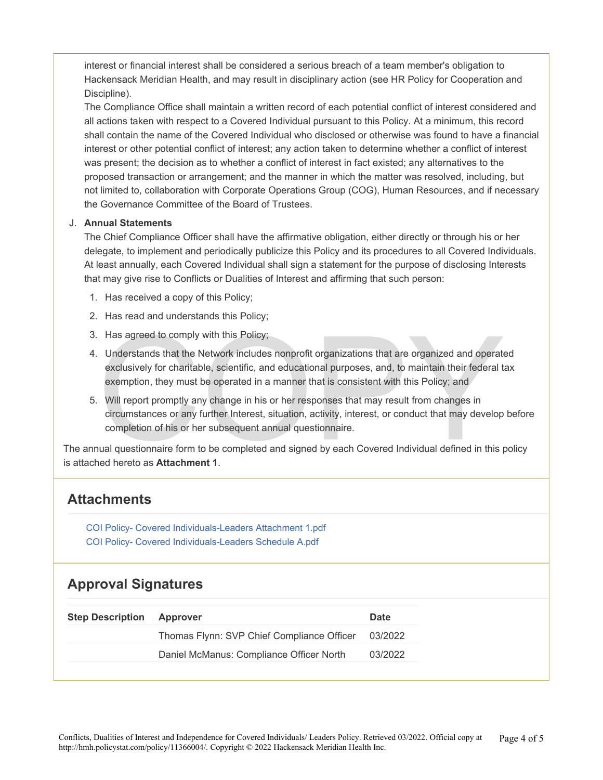interest or financial interest shall be considered a serious breach of a team member's obligation to Hackensack Meridian Health, and may result in disciplinary action (see HR Policy for Cooperation and Discipline).

The Compliance Office shall maintain a written record of each potential conflict of interest considered and all actions taken with respect to a Covered Individual pursuant to this Policy. At a minimum, this record shall contain the name of the Covered Individual who disclosed or otherwise was found to have a financial interest or other potential conflict of interest; any action taken to determine whether a conflict of interest was present; the decision as to whether a conflict of interest in fact existed; any alternatives to the proposed transaction or arrangement; and the manner in which the matter was resolved, including, but not limited to, collaboration with Corporate Operations Group (COG), Human Resources, and if necessary the Governance Committee of the Board of Trustees.

#### J. **Annual Statements**

The Chief Compliance Officer shall have the affirmative obligation, either directly or through his or her delegate, to implement and periodically publicize this Policy and its procedures to all Covered Individuals. At least annually, each Covered Individual shall sign a statement for the purpose of disclosing Interests that may give rise to Conflicts or Dualities of Interest and affirming that such person:

- 1. Has received a copy of this Policy;
- 2. Has read and understands this Policy;
- 3. Has agreed to comply with this Policy;
- Has agreed to comply with this Policy;<br>Understands that the Network includes nonprofit organizations that are organized and operate<br>exclusively for charitable, scientific, and educational purposes, and, to maintain their f 4. Understands that the Network includes nonprofit organizations that are organized and operated exclusively for charitable, scientific, and educational purposes, and, to maintain their federal tax exemption, they must be operated in a manner that is consistent with this Policy; and
- 5. Will report promptly any change in his or her responses that may result from changes in circumstances or any further Interest, situation, activity, interest, or conduct that may develop before completion of his or her subsequent annual questionnaire.

The annual questionnaire form to be completed and signed by each Covered Individual defined in this policy is attached hereto as **Attachment 1**.

### **Attachments**

[COI Policy- Covered Individuals-Leaders Attachment 1.pdf](https://pstat-live-media.s3.amazonaws.com/attachments/public/bbddd3d4e1a214e6d4384c001553664e09e40777f6ff49cccf710564/COI%20Policy-%20Covered%20Individuals-Leaders%20Attachment%201.pdf)  [COI Policy- Covered Individuals-Leaders Schedule A.pdf](https://pstat-live-media.s3.amazonaws.com/attachments/public/25d0d234328e044dffd1e62f33d56fa23a0462be8d625847b463d80f/COI%20Policy-%20Covered%20Individuals-Leaders%20Schedule%20A.pdf) 

### **Approval Signatures**

| Thomas Flynn: SVP Chief Compliance Officer<br>03/2022 | <b>Step Description</b> |
|-------------------------------------------------------|-------------------------|
|                                                       |                         |
| Daniel McManus: Compliance Officer North<br>03/2022   |                         |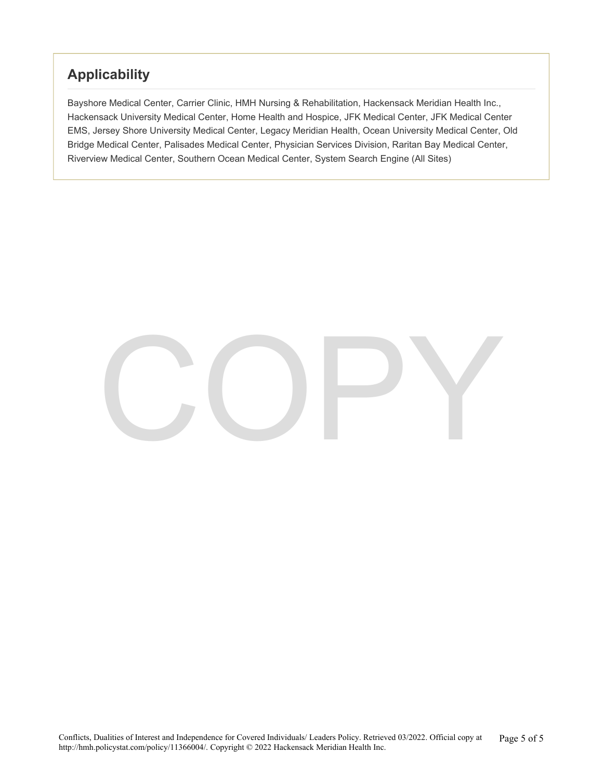### **Applicability**

Bayshore Medical Center, Carrier Clinic, HMH Nursing & Rehabilitation, Hackensack Meridian Health Inc., Hackensack University Medical Center, Home Health and Hospice, JFK Medical Center, JFK Medical Center EMS, Jersey Shore University Medical Center, Legacy Meridian Health, Ocean University Medical Center, Old Bridge Medical Center, Palisades Medical Center, Physician Services Division, Raritan Bay Medical Center, Riverview Medical Center, Southern Ocean Medical Center, System Search Engine (All Sites)

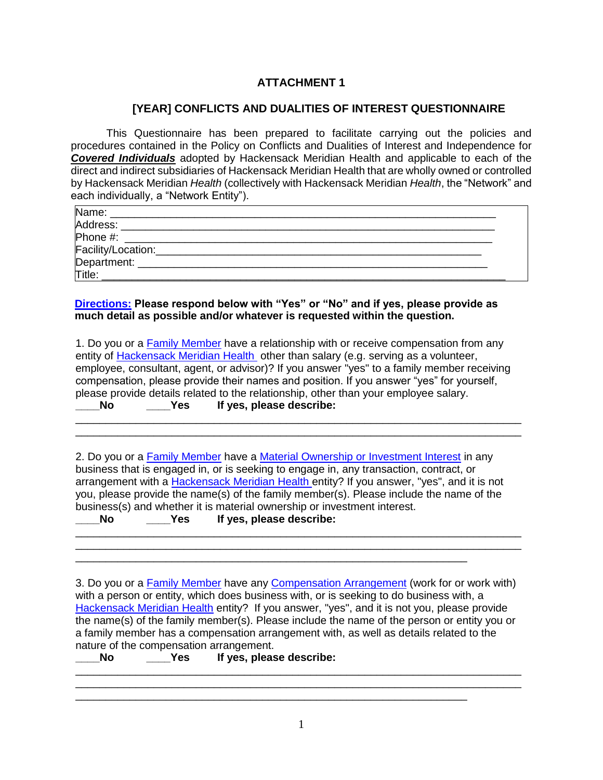#### **ATTACHMENT 1**

#### **[YEAR] CONFLICTS AND DUALITIES OF INTEREST QUESTIONNAIRE**

This Questionnaire has been prepared to facilitate carrying out the policies and procedures contained in the Policy on Conflicts and Dualities of Interest and Independence for *Covered Individuals* adopted by Hackensack Meridian Health and applicable to each of the direct and indirect subsidiaries of Hackensack Meridian Health that are wholly owned or controlled by Hackensack Meridian *Health* (collectively with Hackensack Meridian *Health*, the "Network" and each individually, a "Network Entity").

| Name:                                       |  |
|---------------------------------------------|--|
| Address:                                    |  |
| Phone #:                                    |  |
|                                             |  |
|                                             |  |
| Facility/Location:<br>Department:<br>Title: |  |

**Directions: Please respond below with "Yes" or "No" and if yes, please provide as much detail as possible and/or whatever is requested within the question.** 

|       |     | 1. Do you or a Family Member have a relationship with or receive compensation from any     |
|-------|-----|--------------------------------------------------------------------------------------------|
|       |     | entity of Hackensack Meridian Health other than salary (e.g. serving as a volunteer,       |
|       |     | employee, consultant, agent, or advisor)? If you answer "yes" to a family member receiving |
|       |     | compensation, please provide their names and position. If you answer "yes" for yourself,   |
|       |     | please provide details related to the relationship, other than your employee salary.       |
| ___No | Yes | If yes, please describe:                                                                   |

\_\_\_\_\_\_\_\_\_\_\_\_\_\_\_\_\_\_\_\_\_\_\_\_\_\_\_\_\_\_\_\_\_\_\_\_\_\_\_\_\_\_\_\_\_\_\_\_\_\_\_\_\_\_\_\_\_\_\_\_\_\_\_\_\_\_\_\_\_\_\_\_\_\_ \_\_\_\_\_\_\_\_\_\_\_\_\_\_\_\_\_\_\_\_\_\_\_\_\_\_\_\_\_\_\_\_\_\_\_\_\_\_\_\_\_\_\_\_\_\_\_\_\_\_\_\_\_\_\_\_\_\_\_\_\_\_\_\_\_\_\_\_\_\_\_\_\_\_

2. Do you or a Family Member have a Material Ownership or Investment Interest in any business that is engaged in, or is seeking to engage in, any transaction, contract, or arrangement with a Hackensack Meridian Health entity? If you answer, "yes", and it is not you, please provide the name(s) of the family member(s). Please include the name of the business(s) and whether it is material ownership or investment interest.

\_\_\_\_\_\_\_\_\_\_\_\_\_\_\_\_\_\_\_\_\_\_\_\_\_\_\_\_\_\_\_\_\_\_\_\_\_\_\_\_\_\_\_\_\_\_\_\_\_\_\_\_\_\_\_\_\_\_\_\_\_\_\_\_\_\_\_\_\_\_\_\_\_\_ \_\_\_\_\_\_\_\_\_\_\_\_\_\_\_\_\_\_\_\_\_\_\_\_\_\_\_\_\_\_\_\_\_\_\_\_\_\_\_\_\_\_\_\_\_\_\_\_\_\_\_\_\_\_\_\_\_\_\_\_\_\_\_\_\_\_\_\_\_\_\_\_\_\_

\_\_\_\_\_\_\_\_\_\_\_\_\_\_\_\_\_\_\_\_\_\_\_\_\_\_\_\_\_\_\_\_\_\_\_\_\_\_\_\_\_\_\_\_\_\_\_\_\_\_\_\_\_\_\_\_\_\_\_\_\_\_\_\_\_

\_\_\_\_\_\_\_\_\_\_\_\_\_\_\_\_\_\_\_\_\_\_\_\_\_\_\_\_\_\_\_\_\_\_\_\_\_\_\_\_\_\_\_\_\_\_\_\_\_\_\_\_\_\_\_\_\_\_\_\_\_\_\_\_\_

| Nο | Yes. | If yes, please describe: |
|----|------|--------------------------|
|----|------|--------------------------|

3. Do you or a **Family Member have any Compensation Arrangement** (work for or work with) with a person or entity, which does business with, or is seeking to do business with, a Hackensack Meridian Health entity? If you answer, "yes", and it is not you, please provide the name(s) of the family member(s). Please include the name of the person or entity you or a family member has a compensation arrangement with, as well as details related to the nature of the compensation arrangement.

\_\_\_\_\_\_\_\_\_\_\_\_\_\_\_\_\_\_\_\_\_\_\_\_\_\_\_\_\_\_\_\_\_\_\_\_\_\_\_\_\_\_\_\_\_\_\_\_\_\_\_\_\_\_\_\_\_\_\_\_\_\_\_\_\_\_\_\_\_\_\_\_\_\_ \_\_\_\_\_\_\_\_\_\_\_\_\_\_\_\_\_\_\_\_\_\_\_\_\_\_\_\_\_\_\_\_\_\_\_\_\_\_\_\_\_\_\_\_\_\_\_\_\_\_\_\_\_\_\_\_\_\_\_\_\_\_\_\_\_\_\_\_\_\_\_\_\_\_

**\_\_\_\_No \_\_\_\_Yes If yes, please describe:**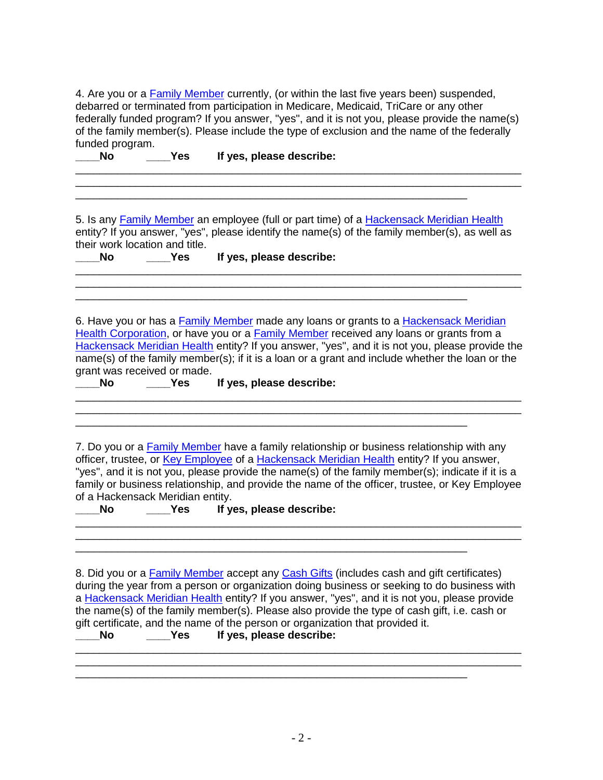4. Are you or a Family Member currently, (or within the last five years been) suspended, debarred or terminated from participation in Medicare, Medicaid, TriCare or any other federally funded program? If you answer, "yes", and it is not you, please provide the name(s) of the family member(s). Please include the type of exclusion and the name of the federally funded program.

\_\_\_\_\_\_\_\_\_\_\_\_\_\_\_\_\_\_\_\_\_\_\_\_\_\_\_\_\_\_\_\_\_\_\_\_\_\_\_\_\_\_\_\_\_\_\_\_\_\_\_\_\_\_\_\_\_\_\_\_\_\_\_\_\_\_\_\_\_\_\_\_\_\_

**\_\_\_\_No \_\_\_\_Yes If yes, please describe:** 

5. Is any Family Member an employee (full or part time) of a Hackensack Meridian Health entity? If you answer, "yes", please identify the name(s) of the family member(s), as well as their work location and title.

\_\_\_\_\_\_\_\_\_\_\_\_\_\_\_\_\_\_\_\_\_\_\_\_\_\_\_\_\_\_\_\_\_\_\_\_\_\_\_\_\_\_\_\_\_\_\_\_\_\_\_\_\_\_\_\_\_\_\_\_\_\_\_\_\_\_\_\_\_\_\_\_\_\_

\_\_\_\_\_\_\_\_\_\_\_\_\_\_\_\_\_\_\_\_\_\_\_\_\_\_\_\_\_\_\_\_\_\_\_\_\_\_\_\_\_\_\_\_\_\_\_\_\_\_\_\_\_\_\_\_\_\_\_\_\_\_\_\_\_

**\_\_\_\_No \_\_\_\_Yes If yes, please describe:** 

\_\_\_\_\_\_\_\_\_\_\_\_\_\_\_\_\_\_\_\_\_\_\_\_\_\_\_\_\_\_\_\_\_\_\_\_\_\_\_\_\_\_\_\_\_\_\_\_\_\_\_\_\_\_\_\_\_\_\_\_\_\_\_\_\_

\_\_\_\_\_\_\_\_\_\_\_\_\_\_\_\_\_\_\_\_\_\_\_\_\_\_\_\_\_\_\_\_\_\_\_\_\_\_\_\_\_\_\_\_\_\_\_\_\_\_\_\_\_\_\_\_\_\_\_\_\_\_\_\_\_

6. Have you or has a Family Member made any loans or grants to a Hackensack Meridian Health Corporation, or have you or a Family Member received any loans or grants from a Hackensack Meridian Health entity? If you answer, "yes", and it is not you, please provide the name(s) of the family member(s); if it is a loan or a grant and include whether the loan or the grant was received or made.

**\_\_\_\_No \_\_\_\_Yes If yes, please describe:** 

7. Do you or a Family Member have a family relationship or business relationship with any officer, trustee, or Key Employee of a Hackensack Meridian Health entity? If you answer, "yes", and it is not you, please provide the name(s) of the family member(s); indicate if it is a family or business relationship, and provide the name of the officer, trustee, or Key Employee of a Hackensack Meridian entity.

\_\_\_\_\_\_\_\_\_\_\_\_\_\_\_\_\_\_\_\_\_\_\_\_\_\_\_\_\_\_\_\_\_\_\_\_\_\_\_\_\_\_\_\_\_\_\_\_\_\_\_\_\_\_\_\_\_\_\_\_\_\_\_\_\_\_\_\_\_\_\_\_\_\_  $\mathcal{L}_\mathcal{L} = \{ \mathcal{L}_\mathcal{L} = \{ \mathcal{L}_\mathcal{L} = \{ \mathcal{L}_\mathcal{L} = \{ \mathcal{L}_\mathcal{L} = \{ \mathcal{L}_\mathcal{L} = \{ \mathcal{L}_\mathcal{L} = \{ \mathcal{L}_\mathcal{L} = \{ \mathcal{L}_\mathcal{L} = \{ \mathcal{L}_\mathcal{L} = \{ \mathcal{L}_\mathcal{L} = \{ \mathcal{L}_\mathcal{L} = \{ \mathcal{L}_\mathcal{L} = \{ \mathcal{L}_\mathcal{L} = \{ \mathcal{L}_\mathcal{$ 

\_\_\_\_\_\_\_\_\_\_\_\_\_\_\_\_\_\_\_\_\_\_\_\_\_\_\_\_\_\_\_\_\_\_\_\_\_\_\_\_\_\_\_\_\_\_\_\_\_\_\_\_\_\_\_\_\_\_\_\_\_\_\_\_\_

**\_\_\_\_No \_\_\_\_Yes If yes, please describe:** 

8. Did you or a **Family Member** accept any Cash Gifts (includes cash and gift certificates) during the year from a person or organization doing business or seeking to do business with a Hackensack Meridian Health entity? If you answer, "yes", and it is not you, please provide the name(s) of the family member(s). Please also provide the type of cash gift, i.e. cash or gift certificate, and the name of the person or organization that provided it.

\_\_\_\_\_\_\_\_\_\_\_\_\_\_\_\_\_\_\_\_\_\_\_\_\_\_\_\_\_\_\_\_\_\_\_\_\_\_\_\_\_\_\_\_\_\_\_\_\_\_\_\_\_\_\_\_\_\_\_\_\_\_\_\_\_\_\_\_\_\_\_\_\_\_

\_\_\_\_\_\_\_\_\_\_\_\_\_\_\_\_\_\_\_\_\_\_\_\_\_\_\_\_\_\_\_\_\_\_\_\_\_\_\_\_\_\_\_\_\_\_\_\_\_\_\_\_\_\_\_\_\_\_\_\_\_\_\_\_\_

\_\_\_\_\_\_\_\_\_\_\_\_\_\_\_\_\_\_\_\_\_\_\_\_\_\_\_\_\_\_\_\_\_\_\_\_\_\_\_\_\_\_\_\_\_\_\_\_\_\_\_\_\_\_\_\_\_\_\_\_\_\_\_\_\_\_\_\_\_\_\_\_\_\_

**\_\_\_\_No \_\_\_\_Yes If yes, please describe:**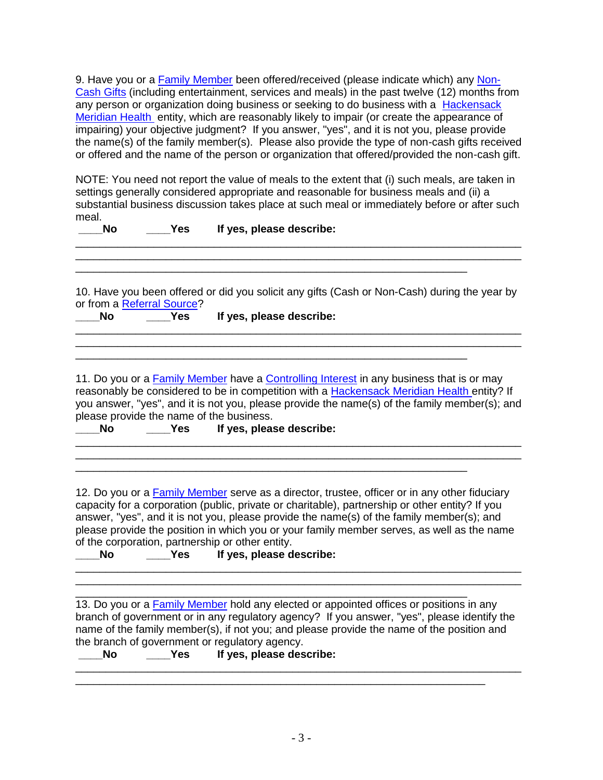9. Have you or a Family Member been offered/received (please indicate which) any Non-Cash Gifts (including entertainment, services and meals) in the past twelve (12) months from any person or organization doing business or seeking to do business with a Hackensack Meridian Health entity, which are reasonably likely to impair (or create the appearance of impairing) your objective judgment? If you answer, "yes", and it is not you, please provide the name(s) of the family member(s). Please also provide the type of non-cash gifts received or offered and the name of the person or organization that offered/provided the non-cash gift.

NOTE: You need not report the value of meals to the extent that (i) such meals, are taken in settings generally considered appropriate and reasonable for business meals and (ii) a substantial business discussion takes place at such meal or immediately before or after such meal.

\_\_\_\_\_\_\_\_\_\_\_\_\_\_\_\_\_\_\_\_\_\_\_\_\_\_\_\_\_\_\_\_\_\_\_\_\_\_\_\_\_\_\_\_\_\_\_\_\_\_\_\_\_\_\_\_\_\_\_\_\_\_\_\_\_\_\_\_\_\_\_\_\_\_ \_\_\_\_\_\_\_\_\_\_\_\_\_\_\_\_\_\_\_\_\_\_\_\_\_\_\_\_\_\_\_\_\_\_\_\_\_\_\_\_\_\_\_\_\_\_\_\_\_\_\_\_\_\_\_\_\_\_\_\_\_\_\_\_\_\_\_\_\_\_\_\_\_\_

**\_\_\_\_No \_\_\_\_Yes If yes, please describe:** 

10. Have you been offered or did you solicit any gifts (Cash or Non-Cash) during the year by or from a **Referral Source**?<br>No<br>**No \_\_\_\_No \_\_\_\_Yes If yes, please describe:** 

\_\_\_\_\_\_\_\_\_\_\_\_\_\_\_\_\_\_\_\_\_\_\_\_\_\_\_\_\_\_\_\_\_\_\_\_\_\_\_\_\_\_\_\_\_\_\_\_\_\_\_\_\_\_\_\_\_\_\_\_\_\_\_\_\_

| 11. Do you or a <b>Family Member have a Controlling Interest</b> in any business that is or may<br>reasonably be considered to be in competition with a Hackensack Meridian Health entity? If<br>you answer, "yes", and it is not you, please provide the name(s) of the family member(s); and<br>please provide the name of the business. |  |
|--------------------------------------------------------------------------------------------------------------------------------------------------------------------------------------------------------------------------------------------------------------------------------------------------------------------------------------------|--|
| - No                                                                                                                                                                                                                                                                                                                                       |  |
|                                                                                                                                                                                                                                                                                                                                            |  |
| Yes If yes, please describe:                                                                                                                                                                                                                                                                                                               |  |

12. Do you or a Family Member serve as a director, trustee, officer or in any other fiduciary capacity for a corporation (public, private or charitable), partnership or other entity? If you answer, "yes", and it is not you, please provide the name(s) of the family member(s); and please provide the position in which you or your family member serves, as well as the name of the corporation, partnership or other entity.

\_\_\_\_\_\_\_\_\_\_\_\_\_\_\_\_\_\_\_\_\_\_\_\_\_\_\_\_\_\_\_\_\_\_\_\_\_\_\_\_\_\_\_\_\_\_\_\_\_\_\_\_\_\_\_\_\_\_\_\_\_\_\_\_\_

| Yes. | If yes, please describe: |  |
|------|--------------------------|--|
|      |                          |  |

\_\_\_\_\_\_\_\_\_\_\_\_\_\_\_\_\_\_\_\_\_\_\_\_\_\_\_\_\_\_\_\_\_\_\_\_\_\_\_\_\_\_\_\_\_\_\_\_\_\_\_\_\_\_\_\_\_\_\_\_\_\_\_\_\_ 13. Do you or a Family Member hold any elected or appointed offices or positions in any branch of government or in any regulatory agency? If you answer, "yes", please identify the name of the family member(s), if not you; and please provide the name of the position and the branch of government or regulatory agency.

\_\_\_\_\_\_\_\_\_\_\_\_\_\_\_\_\_\_\_\_\_\_\_\_\_\_\_\_\_\_\_\_\_\_\_\_\_\_\_\_\_\_\_\_\_\_\_\_\_\_\_\_\_\_\_\_\_\_\_\_\_\_\_\_\_\_\_\_

\_\_\_\_\_\_\_\_\_\_\_\_\_\_\_\_\_\_\_\_\_\_\_\_\_\_\_\_\_\_\_\_\_\_\_\_\_\_\_\_\_\_\_\_\_\_\_\_\_\_\_\_\_\_\_\_\_\_\_\_\_\_\_\_\_\_\_\_\_\_\_\_\_\_

| 'es | If yes, please describe: |
|-----|--------------------------|
|     |                          |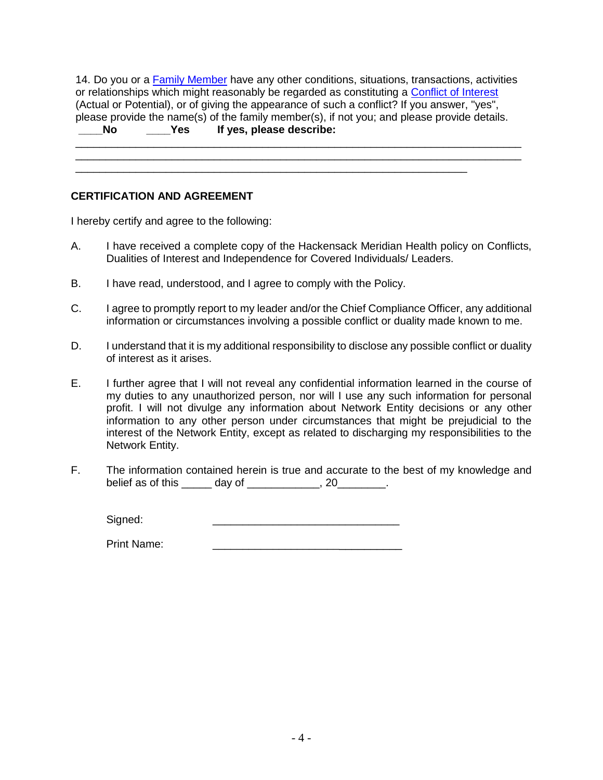14. Do you or a Family Member have any other conditions, situations, transactions, activities or relationships which might reasonably be regarded as constituting a Conflict of Interest (Actual or Potential), or of giving the appearance of such a conflict? If you answer, "yes", please provide the name(s) of the family member(s), if not you; and please provide details.<br> **No Pes If yes. please describe: \_\_\_\_No \_\_\_\_Yes If yes, please describe:** 

\_\_\_\_\_\_\_\_\_\_\_\_\_\_\_\_\_\_\_\_\_\_\_\_\_\_\_\_\_\_\_\_\_\_\_\_\_\_\_\_\_\_\_\_\_\_\_\_\_\_\_\_\_\_\_\_\_\_\_\_\_\_\_\_\_\_\_\_\_\_\_\_\_\_

\_\_\_\_\_\_\_\_\_\_\_\_\_\_\_\_\_\_\_\_\_\_\_\_\_\_\_\_\_\_\_\_\_\_\_\_\_\_\_\_\_\_\_\_\_\_\_\_\_\_\_\_\_\_\_\_\_\_\_\_\_\_\_\_\_

#### **CERTIFICATION AND AGREEMENT**

I hereby certify and agree to the following:

- A. I have received a complete copy of the Hackensack Meridian Health policy on Conflicts, Dualities of Interest and Independence for Covered Individuals/ Leaders.
- B. I have read, understood, and I agree to comply with the Policy.
- C. I agree to promptly report to my leader and/or the Chief Compliance Officer, any additional information or circumstances involving a possible conflict or duality made known to me.
- D. I understand that it is my additional responsibility to disclose any possible conflict or duality of interest as it arises.
- E. I further agree that I will not reveal any confidential information learned in the course of my duties to any unauthorized person, nor will I use any such information for personal profit. I will not divulge any information about Network Entity decisions or any other information to any other person under circumstances that might be prejudicial to the interest of the Network Entity, except as related to discharging my responsibilities to the Network Entity.
- F. The information contained herein is true and accurate to the best of my knowledge and belief as of this \_\_\_\_\_\_ day of \_\_\_\_\_\_\_\_\_\_\_, 20\_\_\_\_\_\_\_.

Signed:

Print Name: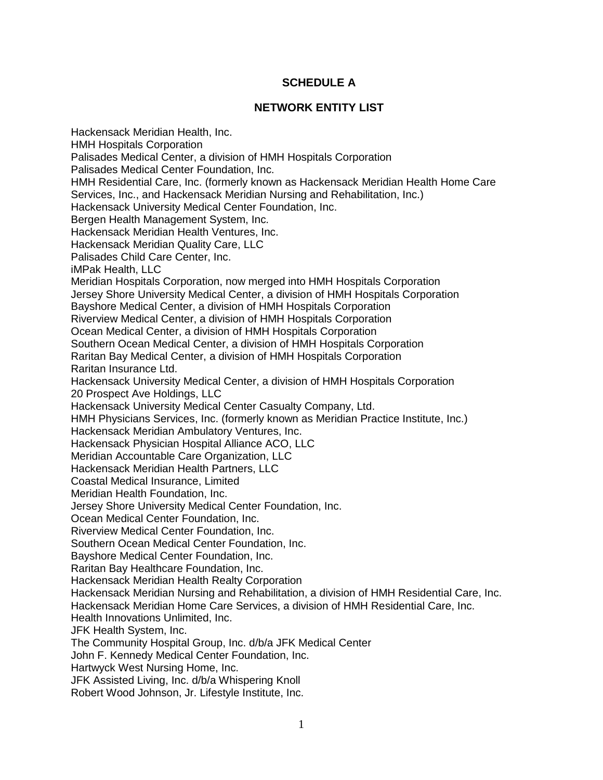#### **SCHEDULE A**

#### **NETWORK ENTITY LIST**

Hackensack Meridian Health, Inc. HMH Hospitals Corporation Palisades Medical Center, a division of HMH Hospitals Corporation Palisades Medical Center Foundation, Inc. HMH Residential Care, Inc. (formerly known as Hackensack Meridian Health Home Care Services, Inc., and Hackensack Meridian Nursing and Rehabilitation, Inc.) Hackensack University Medical Center Foundation, Inc. Bergen Health Management System, Inc. Hackensack Meridian Health Ventures, Inc. Hackensack Meridian Quality Care, LLC Palisades Child Care Center, Inc. iMPak Health, LLC Meridian Hospitals Corporation, now merged into HMH Hospitals Corporation Jersey Shore University Medical Center, a division of HMH Hospitals Corporation Bayshore Medical Center, a division of HMH Hospitals Corporation Riverview Medical Center, a division of HMH Hospitals Corporation Ocean Medical Center, a division of HMH Hospitals Corporation Southern Ocean Medical Center, a division of HMH Hospitals Corporation Raritan Bay Medical Center, a division of HMH Hospitals Corporation Raritan Insurance Ltd. Hackensack University Medical Center, a division of HMH Hospitals Corporation 20 Prospect Ave Holdings, LLC Hackensack University Medical Center Casualty Company, Ltd. HMH Physicians Services, Inc. (formerly known as Meridian Practice Institute, Inc.) Hackensack Meridian Ambulatory Ventures, Inc. Hackensack Physician Hospital Alliance ACO, LLC Meridian Accountable Care Organization, LLC Hackensack Meridian Health Partners, LLC Coastal Medical Insurance, Limited Meridian Health Foundation, Inc. Jersey Shore University Medical Center Foundation, Inc. Ocean Medical Center Foundation, Inc. Riverview Medical Center Foundation, Inc. Southern Ocean Medical Center Foundation, Inc. Bayshore Medical Center Foundation, Inc. Raritan Bay Healthcare Foundation, Inc. Hackensack Meridian Health Realty Corporation Hackensack Meridian Nursing and Rehabilitation, a division of HMH Residential Care, Inc. Hackensack Meridian Home Care Services, a division of HMH Residential Care, Inc. Health Innovations Unlimited, Inc. JFK Health System, Inc. The Community Hospital Group, Inc. d/b/a JFK Medical Center John F. Kennedy Medical Center Foundation, Inc. Hartwyck West Nursing Home, Inc. JFK Assisted Living, Inc. d/b/a Whispering Knoll Robert Wood Johnson, Jr. Lifestyle Institute, Inc.